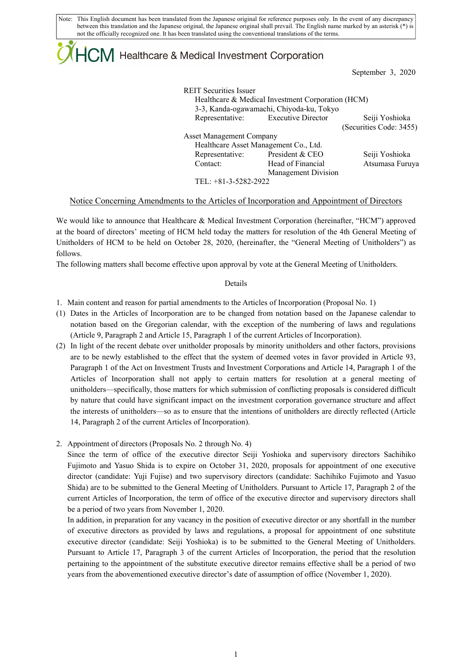Note: This English document has been translated from the Japanese original for reference purposes only. In the event of any discrepancy between this translation and the Japanese original, the Japanese original shall prevail. The English name marked by an asterisk (\*) is not the officially recognized one. It has been translated using the conventional translations of the terms.

# $\mathsf{ICM}\xspace$  Healthcare & Medical Investment Corporation

September 3, 2020

| <b>REIT Securities Issuer</b>         | Healthcare & Medical Investment Corporation (HCM)<br>3-3, Kanda-ogawamachi, Chiyoda-ku, Tokyo |                         |
|---------------------------------------|-----------------------------------------------------------------------------------------------|-------------------------|
|                                       |                                                                                               |                         |
| Representative: Executive Director    |                                                                                               | Seiji Yoshioka          |
|                                       |                                                                                               | (Securities Code: 3455) |
| <b>Asset Management Company</b>       |                                                                                               |                         |
| Healthcare Asset Management Co., Ltd. |                                                                                               |                         |
| Representative:                       | President & CEO                                                                               | Seiji Yoshioka          |
| Contact:                              | Head of Financial                                                                             | Atsumasa Furuya         |
|                                       | Management Division                                                                           |                         |
| TEL: $+81-3-5282-2922$                |                                                                                               |                         |

# Notice Concerning Amendments to the Articles of Incorporation and Appointment of Directors

We would like to announce that Healthcare & Medical Investment Corporation (hereinafter, "HCM") approved at the board of directors' meeting of HCM held today the matters for resolution of the 4th General Meeting of Unitholders of HCM to be held on October 28, 2020, (hereinafter, the "General Meeting of Unitholders") as follows.

The following matters shall become effective upon approval by vote at the General Meeting of Unitholders.

## Details

- 1. Main content and reason for partial amendments to the Articles of Incorporation (Proposal No. 1)
- (1) Dates in the Articles of Incorporation are to be changed from notation based on the Japanese calendar to notation based on the Gregorian calendar, with the exception of the numbering of laws and regulations (Article 9, Paragraph 2 and Article 15, Paragraph 1 of the current Articles of Incorporation).
- (2) In light of the recent debate over unitholder proposals by minority unitholders and other factors, provisions are to be newly established to the effect that the system of deemed votes in favor provided in Article 93, Paragraph 1 of the Act on Investment Trusts and Investment Corporations and Article 14, Paragraph 1 of the Articles of Incorporation shall not apply to certain matters for resolution at a general meeting of unitholders—specifically, those matters for which submission of conflicting proposals is considered difficult by nature that could have significant impact on the investment corporation governance structure and affect the interests of unitholders—so as to ensure that the intentions of unitholders are directly reflected (Article 14, Paragraph 2 of the current Articles of Incorporation).
- 2. Appointment of directors (Proposals No. 2 through No. 4)

Since the term of office of the executive director Seiji Yoshioka and supervisory directors Sachihiko Fujimoto and Yasuo Shida is to expire on October 31, 2020, proposals for appointment of one executive director (candidate: Yuji Fujise) and two supervisory directors (candidate: Sachihiko Fujimoto and Yasuo Shida) are to be submitted to the General Meeting of Unitholders. Pursuant to Article 17, Paragraph 2 of the current Articles of Incorporation, the term of office of the executive director and supervisory directors shall be a period of two years from November 1, 2020.

In addition, in preparation for any vacancy in the position of executive director or any shortfall in the number of executive directors as provided by laws and regulations, a proposal for appointment of one substitute executive director (candidate: Seiji Yoshioka) is to be submitted to the General Meeting of Unitholders. Pursuant to Article 17, Paragraph 3 of the current Articles of Incorporation, the period that the resolution pertaining to the appointment of the substitute executive director remains effective shall be a period of two years from the abovementioned executive director's date of assumption of office (November 1, 2020).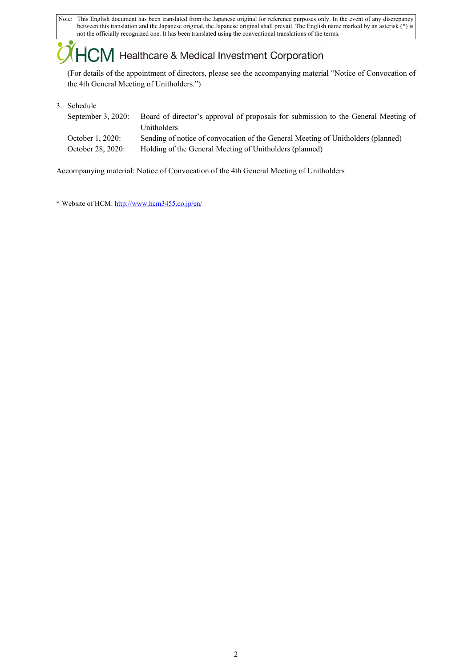Note: This English document has been translated from the Japanese original for reference purposes only. In the event of any discrepancy between this translation and the Japanese original, the Japanese original shall prevail. The English name marked by an asterisk (\*) is not the officially recognized one. It has been translated using the conventional translations of the terms.

# $+C\!M$  Healthcare & Medical Investment Corporation

(For details of the appointment of directors, please see the accompanying material "Notice of Convocation of the 4th General Meeting of Unitholders.")

3. Schedule

| Board of director's approval of proposals for submission to the General Meeting of<br>Unitholders |
|---------------------------------------------------------------------------------------------------|
| Sending of notice of convocation of the General Meeting of Unitholders (planned)                  |
| Holding of the General Meeting of Unitholders (planned)                                           |
|                                                                                                   |

Accompanying material: Notice of Convocation of the 4th General Meeting of Unitholders

\* Website of HCM: http://www.hcm3455.co.jp/en/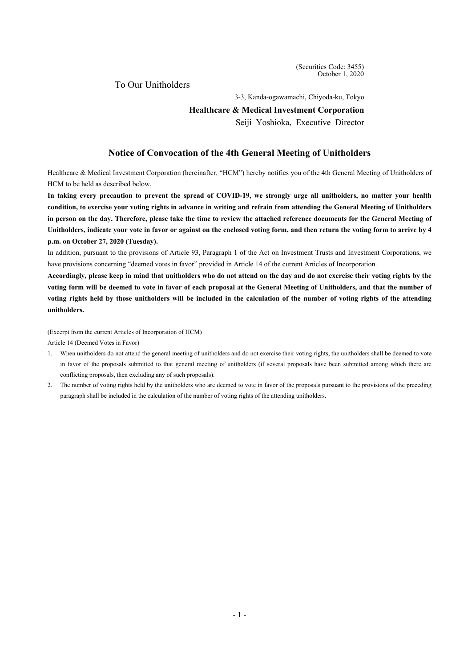(Securities Code: 3455) October 1, 2020

To Our Unitholders

3-3, Kanda-ogawamachi, Chiyoda-ku, Tokyo

#### **Healthcare & Medical Investment Corporation**

Seiji Yoshioka, Executive Director

# **Notice of Convocation of the 4th General Meeting of Unitholders**

Healthcare & Medical Investment Corporation (hereinafter, "HCM") hereby notifies you of the 4th General Meeting of Unitholders of HCM to be held as described below.

**In taking every precaution to prevent the spread of COVID-19, we strongly urge all unitholders, no matter your health condition, to exercise your voting rights in advance in writing and refrain from attending the General Meeting of Unitholders in person on the day. Therefore, please take the time to review the attached reference documents for the General Meeting of Unitholders, indicate your vote in favor or against on the enclosed voting form, and then return the voting form to arrive by 4 p.m. on October 27, 2020 (Tuesday).** 

In addition, pursuant to the provisions of Article 93, Paragraph 1 of the Act on Investment Trusts and Investment Corporations, we have provisions concerning "deemed votes in favor" provided in Article 14 of the current Articles of Incorporation.

**Accordingly, please keep in mind that unitholders who do not attend on the day and do not exercise their voting rights by the voting form will be deemed to vote in favor of each proposal at the General Meeting of Unitholders, and that the number of voting rights held by those unitholders will be included in the calculation of the number of voting rights of the attending unitholders.** 

(Excerpt from the current Articles of Incorporation of HCM)

Article 14 (Deemed Votes in Favor)

- 1. When unitholders do not attend the general meeting of unitholders and do not exercise their voting rights, the unitholders shall be deemed to vote in favor of the proposals submitted to that general meeting of unitholders (if several proposals have been submitted among which there are conflicting proposals, then excluding any of such proposals).
- 2. The number of voting rights held by the unitholders who are deemed to vote in favor of the proposals pursuant to the provisions of the preceding paragraph shall be included in the calculation of the number of voting rights of the attending unitholders.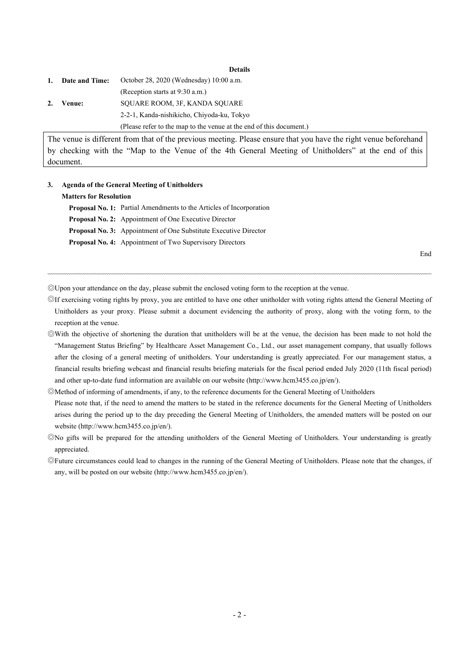**Details** 

| 1. | Date and Time: | October 28, 2020 (Wednesday) 10:00 a.m.                             |
|----|----------------|---------------------------------------------------------------------|
|    |                | (Reception starts at 9:30 a.m.)                                     |
| 2. | Venue:         | SOUARE ROOM, 3F, KANDA SOUARE                                       |
|    |                | 2-2-1, Kanda-nishikicho, Chiyoda-ku, Tokyo                          |
|    |                | (Please refer to the map to the venue at the end of this document.) |

The venue is different from that of the previous meeting. Please ensure that you have the right venue beforehand by checking with the "Map to the Venue of the 4th General Meeting of Unitholders" at the end of this document.

#### **3. Agenda of the General Meeting of Unitholders**

#### **Matters for Resolution**

**Proposal No. 1:** Partial Amendments to the Articles of Incorporation **Proposal No. 2:** Appointment of One Executive Director **Proposal No. 3:** Appointment of One Substitute Executive Director **Proposal No. 4:** Appointment of Two Supervisory Directors

End

◎Upon your attendance on the day, please submit the enclosed voting form to the reception at the venue.

◎If exercising voting rights by proxy, you are entitled to have one other unitholder with voting rights attend the General Meeting of Unitholders as your proxy. Please submit a document evidencing the authority of proxy, along with the voting form, to the reception at the venue.

◎With the objective of shortening the duration that unitholders will be at the venue, the decision has been made to not hold the "Management Status Briefing" by Healthcare Asset Management Co., Ltd., our asset management company, that usually follows after the closing of a general meeting of unitholders. Your understanding is greatly appreciated. For our management status, a financial results briefing webcast and financial results briefing materials for the fiscal period ended July 2020 (11th fiscal period) and other up-to-date fund information are available on our website (http://www.hcm3455.co.jp/en/).

◎Method of informing of amendments, if any, to the reference documents for the General Meeting of Unitholders Please note that, if the need to amend the matters to be stated in the reference documents for the General Meeting of Unitholders arises during the period up to the day preceding the General Meeting of Unitholders, the amended matters will be posted on our website (http://www.hcm3455.co.jp/en/).

◎No gifts will be prepared for the attending unitholders of the General Meeting of Unitholders. Your understanding is greatly appreciated.

◎Future circumstances could lead to changes in the running of the General Meeting of Unitholders. Please note that the changes, if any, will be posted on our website (http://www.hcm3455.co.jp/en/).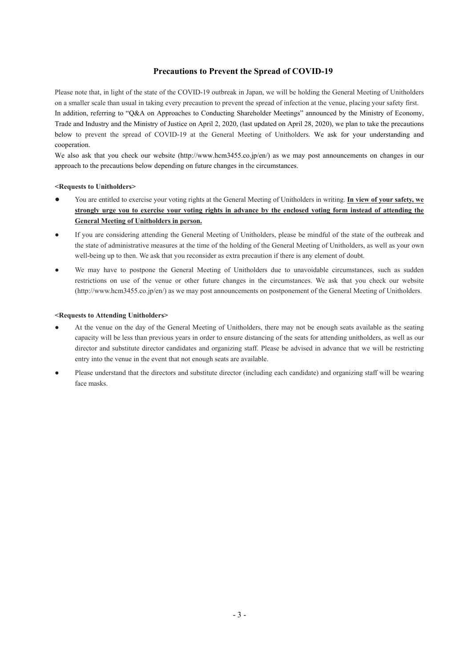# **Precautions to Prevent the Spread of COVID-19**

Please note that, in light of the state of the COVID-19 outbreak in Japan, we will be holding the General Meeting of Unitholders on a smaller scale than usual in taking every precaution to prevent the spread of infection at the venue, placing your safety first. In addition, referring to "Q&A on Approaches to Conducting Shareholder Meetings" announced by the Ministry of Economy, Trade and Industry and the Ministry of Justice on April 2, 2020, (last updated on April 28, 2020), we plan to take the precautions below to prevent the spread of COVID-19 at the General Meeting of Unitholders. We ask for your understanding and cooperation.

We also ask that you check our website (http://www.hcm3455.co.jp/en/) as we may post announcements on changes in our approach to the precautions below depending on future changes in the circumstances.

#### **<Requests to Unitholders>**

- You are entitled to exercise your voting rights at the General Meeting of Unitholders in writing. **In view of your safety, we strongly urge you to exercise your voting rights in advance by the enclosed voting form instead of attending the General Meeting of Unitholders in person.**
- If you are considering attending the General Meeting of Unitholders, please be mindful of the state of the outbreak and the state of administrative measures at the time of the holding of the General Meeting of Unitholders, as well as your own well-being up to then. We ask that you reconsider as extra precaution if there is any element of doubt.
- We may have to postpone the General Meeting of Unitholders due to unavoidable circumstances, such as sudden restrictions on use of the venue or other future changes in the circumstances. We ask that you check our website (http://www.hcm3455.co.jp/en/) as we may post announcements on postponement of the General Meeting of Unitholders.

#### **<Requests to Attending Unitholders>**

- At the venue on the day of the General Meeting of Unitholders, there may not be enough seats available as the seating capacity will be less than previous years in order to ensure distancing of the seats for attending unitholders, as well as our director and substitute director candidates and organizing staff. Please be advised in advance that we will be restricting entry into the venue in the event that not enough seats are available.
- Please understand that the directors and substitute director (including each candidate) and organizing staff will be wearing face masks.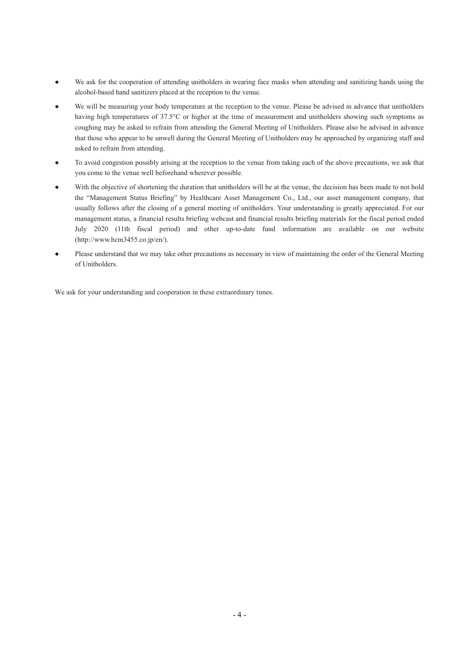- We ask for the cooperation of attending unitholders in wearing face masks when attending and sanitizing hands using the alcohol-based hand sanitizers placed at the reception to the venue.
- We will be measuring your body temperature at the reception to the venue. Please be advised in advance that unitholders having high temperatures of 37.5°C or higher at the time of measurement and unitholders showing such symptoms as coughing may be asked to refrain from attending the General Meeting of Unitholders. Please also be advised in advance that those who appear to be unwell during the General Meeting of Unitholders may be approached by organizing staff and asked to refrain from attending.
- To avoid congestion possibly arising at the reception to the venue from taking each of the above precautions, we ask that you come to the venue well beforehand wherever possible.
- With the objective of shortening the duration that unitholders will be at the venue, the decision has been made to not hold the "Management Status Briefing" by Healthcare Asset Management Co., Ltd., our asset management company, that usually follows after the closing of a general meeting of unitholders. Your understanding is greatly appreciated. For our management status, a financial results briefing webcast and financial results briefing materials for the fiscal period ended July 2020 (11th fiscal period) and other up-to-date fund information are available on our website (http://www.hcm3455.co.jp/en/).
- Please understand that we may take other precautions as necessary in view of maintaining the order of the General Meeting of Unitholders.

We ask for your understanding and cooperation in these extraordinary times.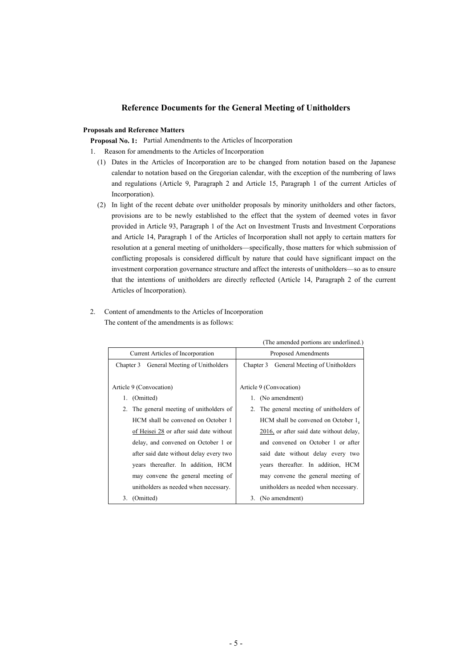## **Reference Documents for the General Meeting of Unitholders**

#### **Proposals and Reference Matters**

**Proposal No. 1:** Partial Amendments to the Articles of Incorporation

1. Reason for amendments to the Articles of Incorporation

- (1) Dates in the Articles of Incorporation are to be changed from notation based on the Japanese calendar to notation based on the Gregorian calendar, with the exception of the numbering of laws and regulations (Article 9, Paragraph 2 and Article 15, Paragraph 1 of the current Articles of Incorporation).
- (2) In light of the recent debate over unitholder proposals by minority unitholders and other factors, provisions are to be newly established to the effect that the system of deemed votes in favor provided in Article 93, Paragraph 1 of the Act on Investment Trusts and Investment Corporations and Article 14, Paragraph 1 of the Articles of Incorporation shall not apply to certain matters for resolution at a general meeting of unitholders—specifically, those matters for which submission of conflicting proposals is considered difficult by nature that could have significant impact on the investment corporation governance structure and affect the interests of unitholders—so as to ensure that the intentions of unitholders are directly reflected (Article 14, Paragraph 2 of the current Articles of Incorporation).
- 2. Content of amendments to the Articles of Incorporation The content of the amendments is as follows:

|                                             | (The amended portions are underlined.)      |
|---------------------------------------------|---------------------------------------------|
| Current Articles of Incorporation           | Proposed Amendments                         |
| General Meeting of Unitholders<br>Chapter 3 | General Meeting of Unitholders<br>Chapter 3 |
|                                             |                                             |
| Article 9 (Convocation)                     | Article 9 (Convocation)                     |
| 1. (Omitted)                                | 1. (No amendment)                           |
| 2. The general meeting of unitholders of    | 2. The general meeting of unitholders of    |
| HCM shall be convened on October 1          | HCM shall be convened on October 1,         |
| of Heisei 28 or after said date without     | 2016, or after said date without delay,     |
| delay, and convened on October 1 or         | and convened on October 1 or after          |
| after said date without delay every two     | said date without delay every two           |
| years thereafter. In addition, HCM          | years thereafter. In addition, HCM          |
| may convene the general meeting of          | may convene the general meeting of          |
| unitholders as needed when necessary.       | unitholders as needed when necessary.       |
| 3. (Omitted)                                | 3. (No amendment)                           |

(The amended portions are underlined.)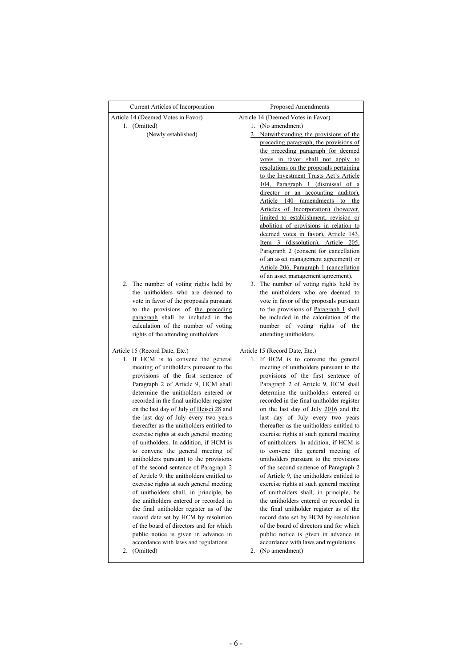| Current Articles of Incorporation                                             | Proposed Amendments                                                                |  |
|-------------------------------------------------------------------------------|------------------------------------------------------------------------------------|--|
| Article 14 (Deemed Votes in Favor)                                            | Article 14 (Deemed Votes in Favor)                                                 |  |
| 1. (Omitted)                                                                  | 1. (No amendment)                                                                  |  |
| (Newly established)                                                           | 2. Notwithstanding the provisions of the<br>preceding paragraph, the provisions of |  |
|                                                                               | the preceding paragraph for deemed                                                 |  |
|                                                                               | votes in favor shall not apply to                                                  |  |
|                                                                               | resolutions on the proposals pertaining                                            |  |
|                                                                               | to the Investment Trusts Act's Article                                             |  |
|                                                                               | 104, Paragraph 1 (dismissal of a                                                   |  |
|                                                                               | director or an accounting auditor),                                                |  |
|                                                                               | Article 140 (amendments to the                                                     |  |
|                                                                               | Articles of Incorporation) (however,                                               |  |
|                                                                               | limited to establishment, revision or                                              |  |
|                                                                               | abolition of provisions in relation to                                             |  |
|                                                                               | deemed votes in favor), Article 143,<br>Item 3 (dissolution), Article 205,         |  |
|                                                                               | Paragraph 2 (consent for cancellation                                              |  |
|                                                                               | of an asset management agreement) or                                               |  |
|                                                                               | Article 206, Paragraph 1 (cancellation                                             |  |
|                                                                               | of an asset management agreement).                                                 |  |
| The number of voting rights held by<br>2.                                     | 3. The number of voting rights held by                                             |  |
| the unitholders who are deemed to                                             | the unitholders who are deemed to                                                  |  |
| vote in favor of the proposals pursuant<br>to the provisions of the preceding | vote in favor of the proposals pursuant<br>to the provisions of Paragraph 1 shall  |  |
| paragraph shall be included in the                                            | be included in the calculation of the                                              |  |
| calculation of the number of voting                                           | number of voting rights of the                                                     |  |
| rights of the attending unitholders.                                          | attending unitholders.                                                             |  |
|                                                                               |                                                                                    |  |
| Article 15 (Record Date, Etc.)                                                | Article 15 (Record Date, Etc.)                                                     |  |
| 1. If HCM is to convene the general                                           | 1. If HCM is to convene the general                                                |  |
| meeting of unitholders pursuant to the<br>provisions of the first sentence of | meeting of unitholders pursuant to the<br>provisions of the first sentence of      |  |
| Paragraph 2 of Article 9, HCM shall                                           | Paragraph 2 of Article 9, HCM shall                                                |  |
| determine the unitholders entered or                                          | determine the unitholders entered or                                               |  |
| recorded in the final unitholder register                                     | recorded in the final unitholder register                                          |  |
| on the last day of July of Heisei 28 and                                      | on the last day of July 2016 and the                                               |  |
| the last day of July every two years                                          | last day of July every two years                                                   |  |
| thereafter as the unitholders entitled to                                     | thereafter as the unitholders entitled to                                          |  |
| exercise rights at such general meeting                                       | exercise rights at such general meeting                                            |  |
| of unitholders. In addition, if HCM is                                        | of unitholders. In addition, if HCM is                                             |  |
| to convene the general meeting of<br>unitholders pursuant to the provisions   | to convene the general meeting of<br>unitholders pursuant to the provisions        |  |
| of the second sentence of Paragraph 2                                         | of the second sentence of Paragraph 2                                              |  |
| of Article 9, the unitholders entitled to                                     | of Article 9, the unitholders entitled to                                          |  |
| exercise rights at such general meeting                                       | exercise rights at such general meeting                                            |  |
| of unitholders shall, in principle, be                                        | of unitholders shall, in principle, be                                             |  |
| the unitholders entered or recorded in                                        | the unitholders entered or recorded in                                             |  |
| the final unitholder register as of the                                       | the final unitholder register as of the                                            |  |
| record date set by HCM by resolution                                          | record date set by HCM by resolution                                               |  |
| of the board of directors and for which                                       | of the board of directors and for which                                            |  |
| public notice is given in advance in<br>accordance with laws and regulations. | public notice is given in advance in<br>accordance with laws and regulations.      |  |
| (Omitted)<br>2.                                                               | (No amendment)<br>2.                                                               |  |
|                                                                               |                                                                                    |  |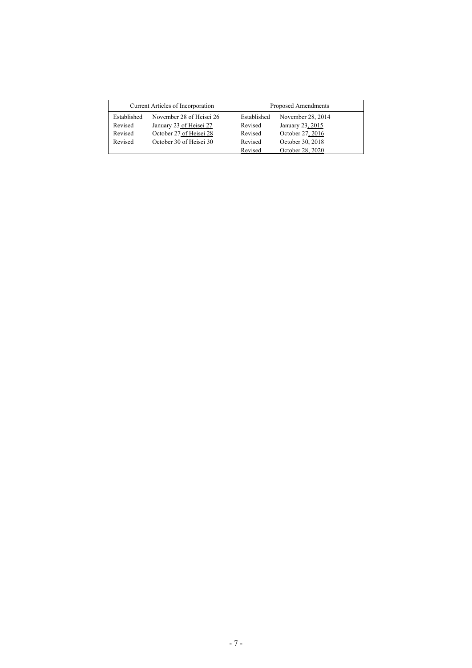| Current Articles of Incorporation |                          | Proposed Amendments |                   |
|-----------------------------------|--------------------------|---------------------|-------------------|
| Established                       | November 28 of Heisei 26 | Established         | November 28, 2014 |
| Revised                           | January 23 of Heisei 27  | Revised             | January 23, 2015  |
| Revised                           | October 27 of Heisei 28  | Revised             | October 27, 2016  |
| Revised                           | October 30 of Heisei 30  | Revised             | October 30, 2018  |
|                                   |                          | Revised             | October 28, 2020  |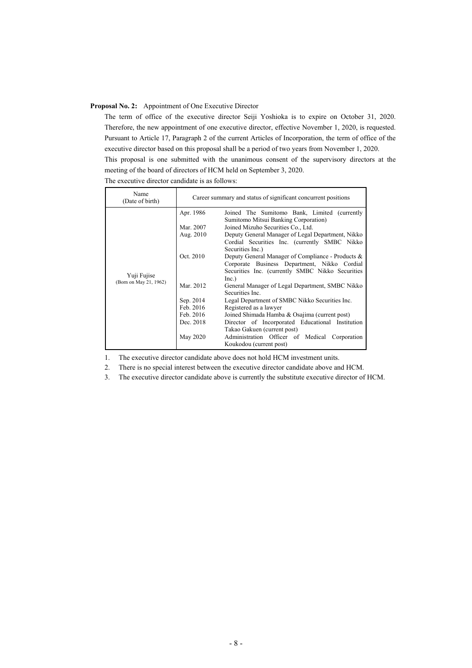#### **Proposal No. 2:** Appointment of One Executive Director

The term of office of the executive director Seiji Yoshioka is to expire on October 31, 2020. Therefore, the new appointment of one executive director, effective November 1, 2020, is requested. Pursuant to Article 17, Paragraph 2 of the current Articles of Incorporation, the term of office of the executive director based on this proposal shall be a period of two years from November 1, 2020.

This proposal is one submitted with the unanimous consent of the supervisory directors at the meeting of the board of directors of HCM held on September 3, 2020.

The executive director candidate is as follows:

| Name<br>(Date of birth) | Career summary and status of significant concurrent positions |                                                                                      |  |
|-------------------------|---------------------------------------------------------------|--------------------------------------------------------------------------------------|--|
|                         | Apr. 1986                                                     | Joined The Sumitomo Bank, Limited (currently<br>Sumitomo Mitsui Banking Corporation) |  |
|                         | Mar. 2007                                                     | Joined Mizuho Securities Co., Ltd.                                                   |  |
|                         | Aug. 2010                                                     | Deputy General Manager of Legal Department, Nikko                                    |  |
|                         |                                                               | Cordial Securities Inc. (currently SMBC Nikko<br>Securities Inc.)                    |  |
|                         | Oct. 2010                                                     | Deputy General Manager of Compliance - Products &                                    |  |
|                         |                                                               | Corporate Business Department, Nikko Cordial                                         |  |
| Yuji Fujise             |                                                               | Securities Inc. (currently SMBC Nikko Securities                                     |  |
| (Born on May 21, 1962)  |                                                               | Inc.)                                                                                |  |
|                         | Mar. 2012                                                     | General Manager of Legal Department, SMBC Nikko<br>Securities Inc.                   |  |
|                         | Sep. 2014                                                     | Legal Department of SMBC Nikko Securities Inc.                                       |  |
|                         | Feb. 2016                                                     | Registered as a lawyer                                                               |  |
|                         | Feb. 2016                                                     | Joined Shimada Hamba & Osajima (current post)                                        |  |
|                         | Dec. 2018                                                     | Director of Incorporated Educational Institution                                     |  |
|                         |                                                               | Takao Gakuen (current post)                                                          |  |
|                         | May 2020                                                      | Administration Officer of Medical Corporation                                        |  |
|                         |                                                               | Koukodou (current post)                                                              |  |

1. The executive director candidate above does not hold HCM investment units.

2. There is no special interest between the executive director candidate above and HCM.

3. The executive director candidate above is currently the substitute executive director of HCM.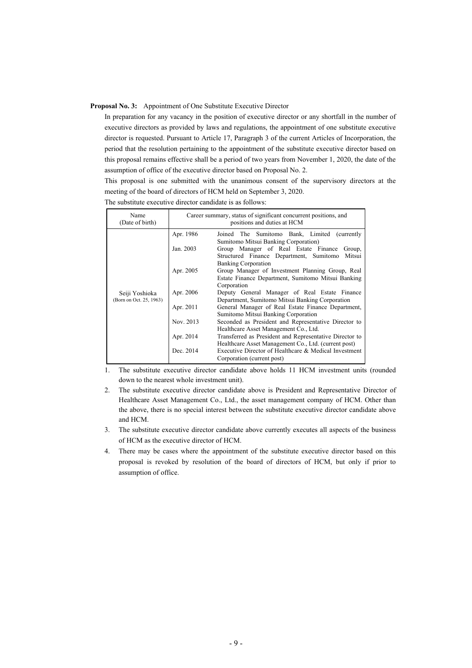#### **Proposal No. 3:** Appointment of One Substitute Executive Director

In preparation for any vacancy in the position of executive director or any shortfall in the number of executive directors as provided by laws and regulations, the appointment of one substitute executive director is requested. Pursuant to Article 17, Paragraph 3 of the current Articles of Incorporation, the period that the resolution pertaining to the appointment of the substitute executive director based on this proposal remains effective shall be a period of two years from November 1, 2020, the date of the assumption of office of the executive director based on Proposal No. 2.

This proposal is one submitted with the unanimous consent of the supervisory directors at the meeting of the board of directors of HCM held on September 3, 2020.

| Name<br>(Date of birth)                   | Career summary, status of significant concurrent positions, and<br>positions and duties at HCM |                                                                                                                                      |  |
|-------------------------------------------|------------------------------------------------------------------------------------------------|--------------------------------------------------------------------------------------------------------------------------------------|--|
| Seiji Yoshioka<br>(Born on Oct. 25, 1963) | Apr. 1986                                                                                      | Joined The Sumitomo Bank, Limited (currently<br>Sumitomo Mitsui Banking Corporation)                                                 |  |
|                                           | Jan. 2003                                                                                      | Group Manager of Real Estate Finance<br>Group,<br>Mitsui<br>Structured Finance Department, Sumitomo                                  |  |
|                                           | Apr. 2005                                                                                      | <b>Banking Corporation</b><br>Group Manager of Investment Planning Group, Real<br>Estate Finance Department, Sumitomo Mitsui Banking |  |
|                                           | Apr. 2006                                                                                      | Corporation<br>Deputy General Manager of Real Estate Finance<br>Department, Sumitomo Mitsui Banking Corporation                      |  |
|                                           | Apr. 2011                                                                                      | General Manager of Real Estate Finance Department,<br>Sumitomo Mitsui Banking Corporation                                            |  |
|                                           | Nov. 2013                                                                                      | Seconded as President and Representative Director to<br>Healthcare Asset Management Co., Ltd.                                        |  |
|                                           | Apr. 2014                                                                                      | Transferred as President and Representative Director to<br>Healthcare Asset Management Co., Ltd. (current post)                      |  |
|                                           | Dec. 2014                                                                                      | Executive Director of Healthcare & Medical Investment<br>Corporation (current post)                                                  |  |

The substitute executive director candidate is as follows:

1. The substitute executive director candidate above holds 11 HCM investment units (rounded down to the nearest whole investment unit).

- 2. The substitute executive director candidate above is President and Representative Director of Healthcare Asset Management Co., Ltd., the asset management company of HCM. Other than the above, there is no special interest between the substitute executive director candidate above and HCM.
- 3. The substitute executive director candidate above currently executes all aspects of the business of HCM as the executive director of HCM.
- 4. There may be cases where the appointment of the substitute executive director based on this proposal is revoked by resolution of the board of directors of HCM, but only if prior to assumption of office.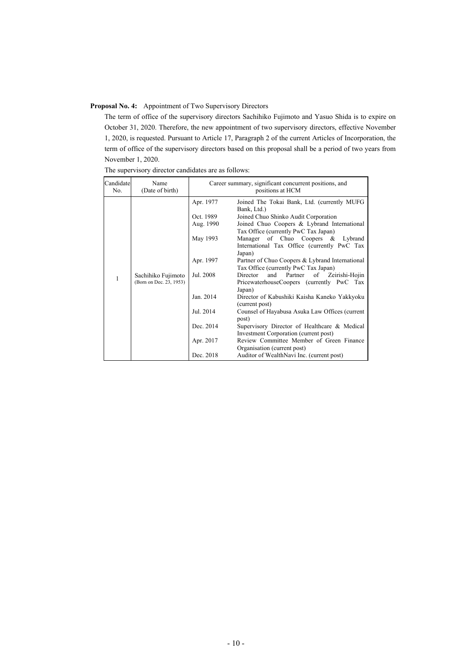# **Proposal No. 4:** Appointment of Two Supervisory Directors

The term of office of the supervisory directors Sachihiko Fujimoto and Yasuo Shida is to expire on October 31, 2020. Therefore, the new appointment of two supervisory directors, effective November 1, 2020, is requested. Pursuant to Article 17, Paragraph 2 of the current Articles of Incorporation, the term of office of the supervisory directors based on this proposal shall be a period of two years from November 1, 2020.

| Candidate<br>No. | Name<br>(Date of birth)                       | Career summary, significant concurrent positions, and<br>positions at HCM |                                                                                                        |
|------------------|-----------------------------------------------|---------------------------------------------------------------------------|--------------------------------------------------------------------------------------------------------|
|                  |                                               | Apr. 1977                                                                 | Joined The Tokai Bank, Ltd. (currently MUFG<br>Bank, Ltd.)                                             |
|                  |                                               | Oct. 1989                                                                 | Joined Chuo Shinko Audit Corporation                                                                   |
|                  |                                               | Aug. 1990                                                                 | Joined Chuo Coopers & Lybrand International<br>Tax Office (currently PwC Tax Japan)                    |
|                  |                                               | May 1993                                                                  | Manager of Chuo Coopers & Lybrand<br>International Tax Office (currently PwC Tax<br>Japan)             |
|                  |                                               | Apr. 1997                                                                 | Partner of Chuo Coopers & Lybrand International<br>Tax Office (currently PwC Tax Japan)                |
| 1                | Sachihiko Fujimoto<br>(Born on Dec. 23, 1953) | Jul. 2008                                                                 | and Partner<br>Zeirishi-Hojin<br>Director<br>of<br>PricewaterhouseCoopers (currently PwC Tax<br>Japan) |
|                  |                                               | Jan. 2014                                                                 | Director of Kabushiki Kaisha Kaneko Yakkyoku<br>(current post)                                         |
|                  |                                               | Jul. 2014                                                                 | Counsel of Hayabusa Asuka Law Offices (current<br>post)                                                |
|                  |                                               | Dec. 2014                                                                 | Supervisory Director of Healthcare & Medical<br>Investment Corporation (current post)                  |
|                  |                                               | Apr. 2017                                                                 | Review Committee Member of Green Finance<br>Organisation (current post)                                |
|                  |                                               | Dec. 2018                                                                 | Auditor of WealthNavi Inc. (current post)                                                              |

The supervisory director candidates are as follows: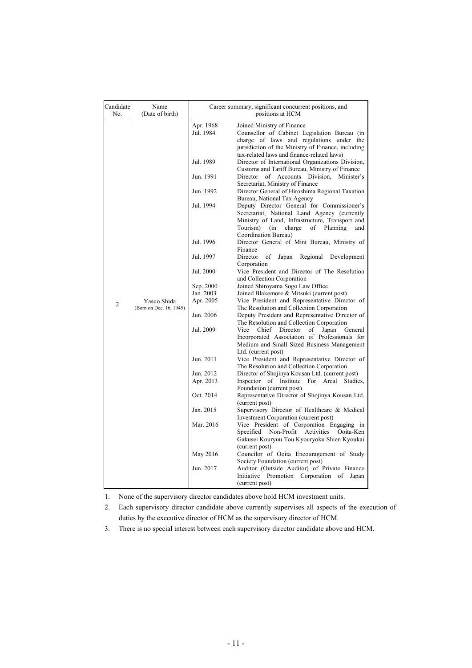| Candidate<br>No.                                         | Name<br>(Date of birth) | Career summary, significant concurrent positions, and<br>positions at HCM   |                                                                                                                                                                                                                             |
|----------------------------------------------------------|-------------------------|-----------------------------------------------------------------------------|-----------------------------------------------------------------------------------------------------------------------------------------------------------------------------------------------------------------------------|
|                                                          |                         | Apr. 1968<br>Jul. 1984                                                      | Joined Ministry of Finance<br>Counsellor of Cabinet Legislation Bureau (in<br>charge of laws and regulations under the<br>jurisdiction of the Ministry of Finance, including                                                |
|                                                          |                         | Jul. 1989                                                                   | tax-related laws and finance-related laws)<br>Director of International Organizations Division,<br>Customs and Tariff Bureau, Ministry of Finance                                                                           |
|                                                          |                         | Jun. 1991                                                                   | Division,<br>Director of Accounts<br>Minister's<br>Secretariat, Ministry of Finance                                                                                                                                         |
|                                                          |                         | Jun. 1992                                                                   | Director General of Hiroshima Regional Taxation<br>Bureau, National Tax Agency                                                                                                                                              |
|                                                          |                         | Jul. 1994                                                                   | Deputy Director General for Commissioner's<br>Secretariat, National Land Agency (currently<br>Ministry of Land, Infrastructure, Transport and<br>Tourism)<br>of<br>Planning<br>(in<br>charge<br>and<br>Coordination Bureau) |
|                                                          |                         | Jul. 1996                                                                   | Director General of Mint Bureau, Ministry of<br>Finance                                                                                                                                                                     |
| Yasuo Shida<br>$\overline{c}$<br>(Born on Dec. 16, 1945) | Jul. 1997               | Director<br>of<br>Japan<br>Regional<br>Development<br>Corporation           |                                                                                                                                                                                                                             |
|                                                          | Jul. 2000               | Vice President and Director of The Resolution<br>and Collection Corporation |                                                                                                                                                                                                                             |
|                                                          | Sep. 2000               | Joined Shiroyama Sogo Law Office                                            |                                                                                                                                                                                                                             |
|                                                          | Jan. 2003               | Joined Blakemore & Mitsuki (current post)                                   |                                                                                                                                                                                                                             |
|                                                          |                         | Apr. 2005                                                                   | Vice President and Representative Director of<br>The Resolution and Collection Corporation                                                                                                                                  |
|                                                          |                         | Jun. 2006                                                                   | Deputy President and Representative Director of<br>The Resolution and Collection Corporation                                                                                                                                |
|                                                          |                         | Jul. 2009                                                                   | Vice<br>Chief<br>Director<br>of<br>Japan<br>General<br>Incorporated Association of Professionals for<br>Medium and Small Sized Business Management<br>Ltd. (current post)                                                   |
|                                                          |                         | Jun. 2011                                                                   | Vice President and Representative Director of<br>The Resolution and Collection Corporation                                                                                                                                  |
|                                                          |                         | Jun. 2012                                                                   | Director of Shojinya Kousan Ltd. (current post)                                                                                                                                                                             |
|                                                          |                         | Apr. 2013                                                                   | Inspector<br>of Institute<br>For Areal<br>Studies.<br>Foundation (current post)                                                                                                                                             |
|                                                          |                         | Oct. 2014                                                                   | Representative Director of Shojinya Kousan Ltd.<br>(current post)                                                                                                                                                           |
|                                                          |                         | Jan. 2015                                                                   | Supervisory Director of Healthcare & Medical<br>Investment Corporation (current post)                                                                                                                                       |
|                                                          |                         | Mar. 2016                                                                   | Vice President of Corporation Engaging in<br>Specified<br>Non-Profit<br>Activities<br>Ooita-Ken<br>Gakusei Kouryuu Tou Kyouryoku Shien Kyoukai                                                                              |
|                                                          |                         | May 2016                                                                    | (current post)<br>Councilor of Ooita Encouragement of Study                                                                                                                                                                 |
|                                                          |                         | Jun. 2017                                                                   | Society Foundation (current post)<br>Auditor (Outside Auditor) of Private Finance<br>Promotion Corporation<br>Initiative<br>of<br>Japan<br>(current post)                                                                   |

1. None of the supervisory director candidates above hold HCM investment units.

2. Each supervisory director candidate above currently supervises all aspects of the execution of duties by the executive director of HCM as the supervisory director of HCM.

3. There is no special interest between each supervisory director candidate above and HCM.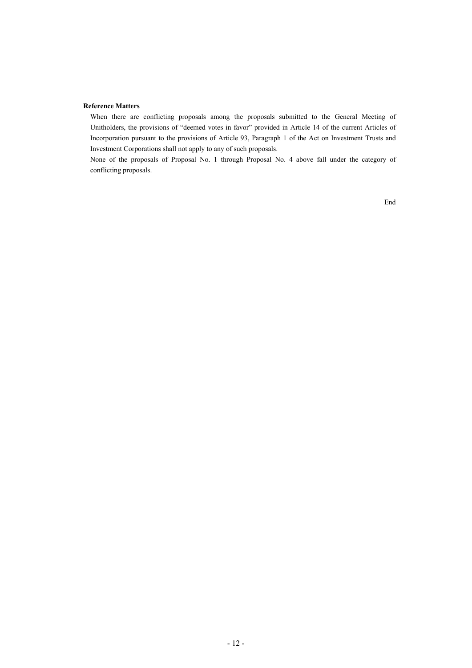#### **Reference Matters**

When there are conflicting proposals among the proposals submitted to the General Meeting of Unitholders, the provisions of "deemed votes in favor" provided in Article 14 of the current Articles of Incorporation pursuant to the provisions of Article 93, Paragraph 1 of the Act on Investment Trusts and Investment Corporations shall not apply to any of such proposals.

None of the proposals of Proposal No. 1 through Proposal No. 4 above fall under the category of conflicting proposals.